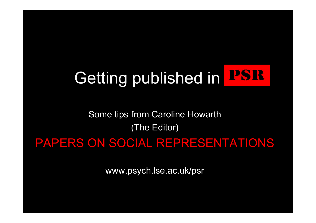# Getting published in PSR

### Some tips from Caroline Howarth (The Editor)

### PAPERS ON SOCIAL REPRESENTATIONS

www.psych.lse.ac.uk/psr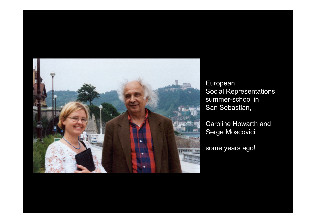

European Social Representations summer-school in San Sebastian,

Caroline Howarth and Serge Moscovici

some years ago!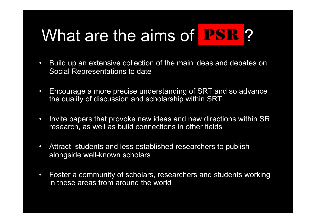## What are the aims of  $PSE$ ?

- Build up an extensive collection of the main ideas and debates on Social Representations to date
- Encourage a more precise understanding of SRT and so advance the quality of discussion and scholarship within SRT
- Invite papers that provoke new ideas and new directions within SR research, as well as build connections in other fields
- Attract students and less established researchers to publish alongside well-known scholars
- Foster a community of scholars, researchers and students working in these areas from around the world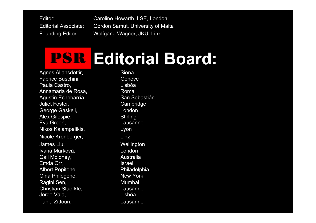Editor: Caroline Howarth, LSE, London Editorial Associate: Gordon Samut, University of Malta Founding Editor: Wolfgang Wagner, JKU, Linz

## **PSR Editorial Board:**

Agnes Allansdottir, Siena Fabrice Buschini, Genève Paula Castro, Lisbõa Annamaria de Rosa, Roma Agustin Echebarría, San Sebastián Juliet Foster, Cambridge George Gaskell, **London** Alex Gilespie, Stirling Eva Green, The Contract Contract Lausanne Nikos Kalampalikis, Kalampalikis, Kalampalikis, Kalendarian kutha kutha kutha kutha kutha kutha kutha kutha ku Nicole Kronberger, Einz James Liu, Nellington Ivana Marková, entre entre London Gail Moloney, **Australia** Emda Orr, Santa Contract and Security and Security and Security and Security and Security and Security and Security and Security and Security and Security and Security and Security and Security and Security and Security an Albert Pepitone, Philadelphia Gina Philogene, New York Ragini Sen, Mumbai Christian Staerklé, **Lausanne** Jorge Vala, Lisbõa Tania Zittoun, Lausanne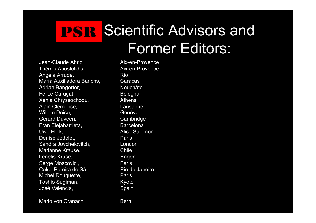### **IPSIR Scientific Advisors and** Former Editors:

Jean-Claude Abric, and Aix-en-Provence Thémis Apostolidis, Aix-en-Provence Angela Arruda, Rio María Auxiliadora Banchs, Caracas Adrian Bangerter, Neuchâtel Felice Carugati, Bologna Xenia Chryssochoou, Athens Alain Clémence. **Lausanne** Willem Doise, **Genève** Gerard Duveen, Cambridge Fran Elejabarrieta, Barcelona Uwe Flick. **Alice Salomon** Denise Jodelet. **Paris** Sandra Jovchelovitch, **London** Marianne Krause, The Chile Lenelis Kruse, The Magen Serge Moscovici, Paris Celso Pereira de Sá, Rio de Janeiro Michel Rouquette, **Paris** Toshio Sugiman, Martin Kyoto José Valencia, Spain

Mario von Cranach, Bern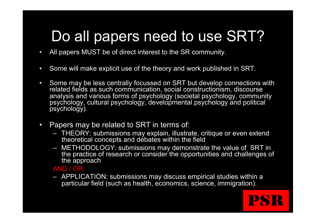### Do all papers need to use SRT?

- All papers MUST be of direct interest to the SR community.
- Some will make explicit use of the theory and work published in SRT.
- Some may be less centrally focussed on SRT but develop connections with related fields as such communication, social constructionism, discourse analysis and various forms of psychology (societal psychology, community psychology, cultural psychology, developmental psychology and political psychology).
- Papers may be related to SRT in terms of:
	- THEORY: submissions may explain, illustrate, critique or even extend theoretical concepts and debates within the field
	- METHODOLOGY: submissions may demonstrate the value of SRT in the practice of research or consider the opportunities and challenges of the approach

**PSR** 

#### AND / OR

– APPLICATION: submissions may discuss empirical studies within a particular field (such as health, economics, science, immigration).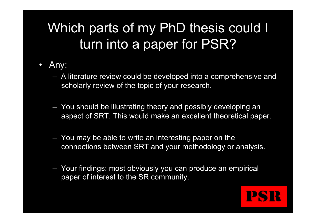### Which parts of my PhD thesis could I turn into a paper for PSR?

- Any:
	- A literature review could be developed into a comprehensive and scholarly review of the topic of your research.
	- You should be illustrating theory and possibly developing an aspect of SRT. This would make an excellent theoretical paper.
	- You may be able to write an interesting paper on the connections between SRT and your methodology or analysis.
	- Your findings: most obviously you can produce an empirical paper of interest to the SR community.

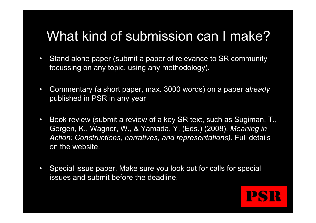### What kind of submission can I make?

- Stand alone paper (submit a paper of relevance to SR community focussing on any topic, using any methodology).
- Commentary (a short paper, max. 3000 words) on a paper *already*  published in PSR in any year
- Book review (submit a review of a key SR text, such as Sugiman, T., Gergen, K., Wagner, W., & Yamada, Y. (Eds.) (2008). *Meaning in Action: Constructions, narratives, and representations)*. Full details on the website.
- Special issue paper. Make sure you look out for calls for special issues and submit before the deadline.

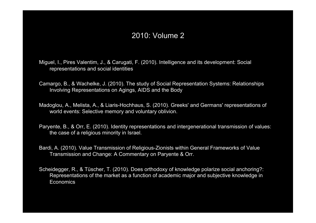### 2010: Volume 2

- Miguel, I., Pires Valentim, J., & Carugati, F. (2010). Intelligence and its development: Social representations and social identities
- Camargo, B., & Wachelke, J. (2010). The study of Social Representation Systems: Relationships Involving Representations on Agings, AIDS and the Body
- Madoglou, A., Melista, A., & Liaris-Hochhaus, S. (2010). Greeks' and Germans' representations of world events: Selective memory and voluntary oblivion.
- Paryente, B., & Orr, E. (2010). Identity representations and intergenerational transmission of values: the case of a religious minority in Israel.
- Bardi, A. (2010). Value Transmission of Religious-Zionists within General Frameworks of Value Transmission and Change: A Commentary on Paryente & Orr.
- Scheidegger, R., & Tüscher, T. (2010). Does orthodoxy of knowledge polarize social anchoring?: Representations of the market as a function of academic major and subjective knowledge in **Economics**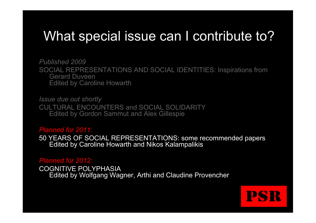### What special issue can I contribute to?

*Published 2009*  SOCIAL REPRESENTATIONS AND SOCIAL IDENTITIES: Inspirations from Gerard Duveen Edited by Caroline Howarth

*Issue due out shortly*  CULTURAL ENCOUNTERS and SOCIAL SOLIDARITY Edited by Gordon Sammut and Alex Gillespie

#### *Planned for 2011:*

50 YEARS OF SOCIAL REPRESENTATIONS: some recommended papers Edited by Caroline Howarth and Nikos Kalampalikis

#### *Planned for 2012:*

COGNITIVE POLYPHASIA Edited by Wolfgang Wagner, Arthi and Claudine Provencher

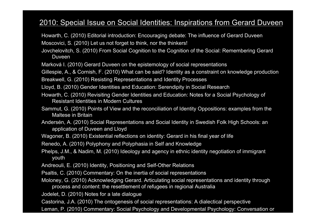### 2010: Special Issue on Social Identities: Inspirations from Gerard Duveen

- Howarth, C. (2010) Editorial introduction: Encouraging debate: The influence of Gerard Duveen
- Moscovici, S. (2010) Let us not forget to think, nor the thinkers!
- Jovchelovitch, S. (2010) From Social Cognition to the Cognition of the Social: Remembering Gerard Duveen
- Marková I. (2010) Gerard Duveen on the epistemology of social representations

Gillespie, A., & Cornish, F. (2010) What can be said? Identity as a constraint on knowledge production

- Breakwell, G. (2010) Resisting Representations and Identity Processes
- Lloyd, B. (2010) Gender Identities and Education: Serendipity in Social Research
- Howarth, C. (2010) Revisiting Gender Identities and Education: Notes for a Social Psychology of Resistant Identities in Modern Cultures
- Sammut, G. (2010) Points of View and the reconciliation of Identity Oppositions: examples from the Maltese in Britain
- Andersén, A. (2010) Social Representations and Social Identity in Swedish Folk High Schools: an application of Duveen and Lloyd
- Wagoner, B. (2010) Existential reflections on identity: Gerard in his final year of life
- Renedo, A. (2010) Polyphony and Polyphasia in Self and Knowledge
- Phelps, J.M., & Nadim, M. (2010) Ideology and agency in ethnic identity negotiation of immigrant youth
- Andreouli, E. (2010) Identity, Positioning and Self-Other Relations
- Psaltis, C. (2010) Commentary: On the inertia of social representations
- Moloney, G. (2010) Acknowledging Gerard. Articulating social representations and identity through process and content: the resettlement of refugees in regional Australia
- Jodelet, D. (2010) Notes for a late dialogue
- Castorina, J.A. (2010) The ontogenesis of social representations: A dialectical perspective

Leman, P. (2010) Commentary: Social Psychology and Developmental Psychology: Conversation or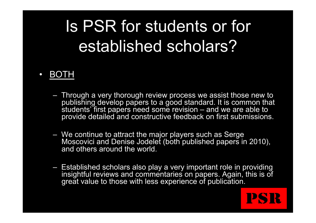## Is PSR for students or for established scholars?

### • BOTH

- Through a very thorough review process we assist those new to publishing develop papers to a good standard. It is common that students' first papers need some revision – and we are able to provide detailed and constructive feedback on first submissions.
- We continue to attract the major players such as Serge Moscovici and Denise Jodelet (both published papers in 2010), and others around the world.
- Established scholars also play a very important role in providing insightful reviews and commentaries on papers. Again, this is of great value to those with less experience of publication.

**PSR**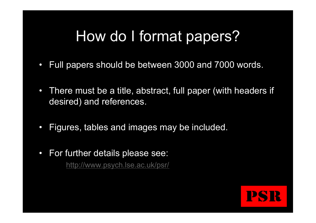### How do I format papers?

- Full papers should be between 3000 and 7000 words.
- There must be a title, abstract, full paper (with headers if desired) and references.
- Figures, tables and images may be included.
- For further details please see: http://www.psych.lse.ac.uk/psr/

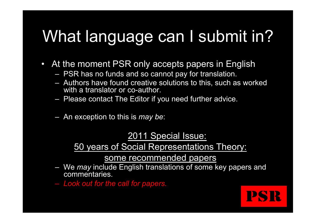## What language can I submit in?

- At the moment PSR only accepts papers in English
	- PSR has no funds and so cannot pay for translation.
	- Authors have found creative solutions to this, such as worked with a translator or co-author.
	- Please contact The Editor if you need further advice.
	- An exception to this is *may be*:

2011 Special Issue:

50 years of Social Representations Theory:

- some recommended papers<br>We *may* include English translations of some key papers and commentaries.
- *Look out for the call for papers.*

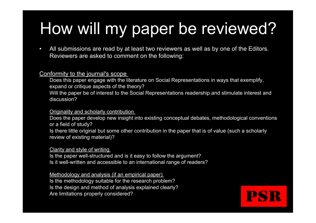## How will my paper be reviewed?

• All submissions are read by at least two reviewers as well as by one of the Editors. Reviewers are asked to comment on the following:

#### Conformity to the journal's scope

Does this paper engage with the literature on Social Representations in ways that exemplify, expand or critique aspects of the theory?

Will the paper be of interest to the Social Representations readership and stimulate interest and discussion?

#### Originality and scholarly contribution

Does the paper develop new insight into existing conceptual debates, methodological conventions or a field of study?

Is there little original but some other contribution in the paper that is of value (such a scholarly review of existing material)?

#### Clarity and style of writing

Is the paper well-structured and is it easy to follow the argument? Is it well-written and accessible to an international range of readers?

#### Methodology and analysis (if an empirical paper)

Is the methodology suitable for the research problem? Is the design and method of analysis explained clearly? Are limitations properly considered?

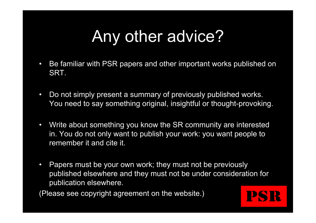## Any other advice?

- Be familiar with PSR papers and other important works published on SRT.
- Do not simply present a summary of previously published works. You need to say something original, insightful or thought-provoking.
- Write about something you know the SR community are interested in. You do not only want to publish your work: you want people to remember it and cite it.
- Papers must be your own work; they must not be previously published elsewhere and they must not be under consideration for publication elsewhere.

(Please see copyright agreement on the website.)

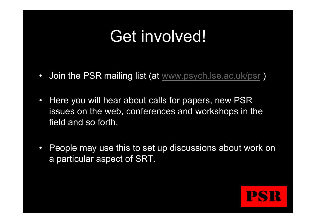## Get involved!

- Join the PSR mailing list (at www.psych.lse.ac.uk/psr )
- Here you will hear about calls for papers, new PSR issues on the web, conferences and workshops in the field and so forth.
- People may use this to set up discussions about work on a particular aspect of SRT.